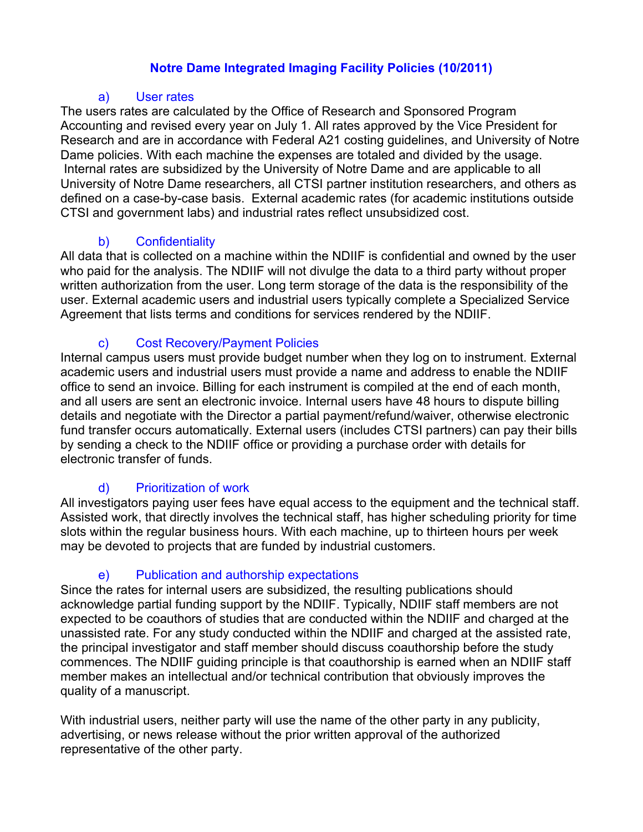### **Notre Dame Integrated Imaging Facility Policies (10/2011)**

#### a) User rates

The users rates are calculated by the Office of Research and Sponsored Program Accounting and revised every year on July 1. All rates approved by the Vice President for Research and are in accordance with Federal A21 costing guidelines, and University of Notre Dame policies. With each machine the expenses are totaled and divided by the usage. Internal rates are subsidized by the University of Notre Dame and are applicable to all University of Notre Dame researchers, all CTSI partner institution researchers, and others as defined on a case-by-case basis. External academic rates (for academic institutions outside CTSI and government labs) and industrial rates reflect unsubsidized cost.

### b) Confidentiality

All data that is collected on a machine within the NDIIF is confidential and owned by the user who paid for the analysis. The NDIIF will not divulge the data to a third party without proper written authorization from the user. Long term storage of the data is the responsibility of the user. External academic users and industrial users typically complete a Specialized Service Agreement that lists terms and conditions for services rendered by the NDIIF.

### c) Cost Recovery/Payment Policies

Internal campus users must provide budget number when they log on to instrument. External academic users and industrial users must provide a name and address to enable the NDIIF office to send an invoice. Billing for each instrument is compiled at the end of each month, and all users are sent an electronic invoice. Internal users have 48 hours to dispute billing details and negotiate with the Director a partial payment/refund/waiver, otherwise electronic fund transfer occurs automatically. External users (includes CTSI partners) can pay their bills by sending a check to the NDIIF office or providing a purchase order with details for electronic transfer of funds.

# d) Prioritization of work

All investigators paying user fees have equal access to the equipment and the technical staff. Assisted work, that directly involves the technical staff, has higher scheduling priority for time slots within the regular business hours. With each machine, up to thirteen hours per week may be devoted to projects that are funded by industrial customers.

# e) Publication and authorship expectations

Since the rates for internal users are subsidized, the resulting publications should acknowledge partial funding support by the NDIIF. Typically, NDIIF staff members are not expected to be coauthors of studies that are conducted within the NDIIF and charged at the unassisted rate. For any study conducted within the NDIIF and charged at the assisted rate, the principal investigator and staff member should discuss coauthorship before the study commences. The NDIIF guiding principle is that coauthorship is earned when an NDIIF staff member makes an intellectual and/or technical contribution that obviously improves the quality of a manuscript.

With industrial users, neither party will use the name of the other party in any publicity, advertising, or news release without the prior written approval of the authorized representative of the other party.